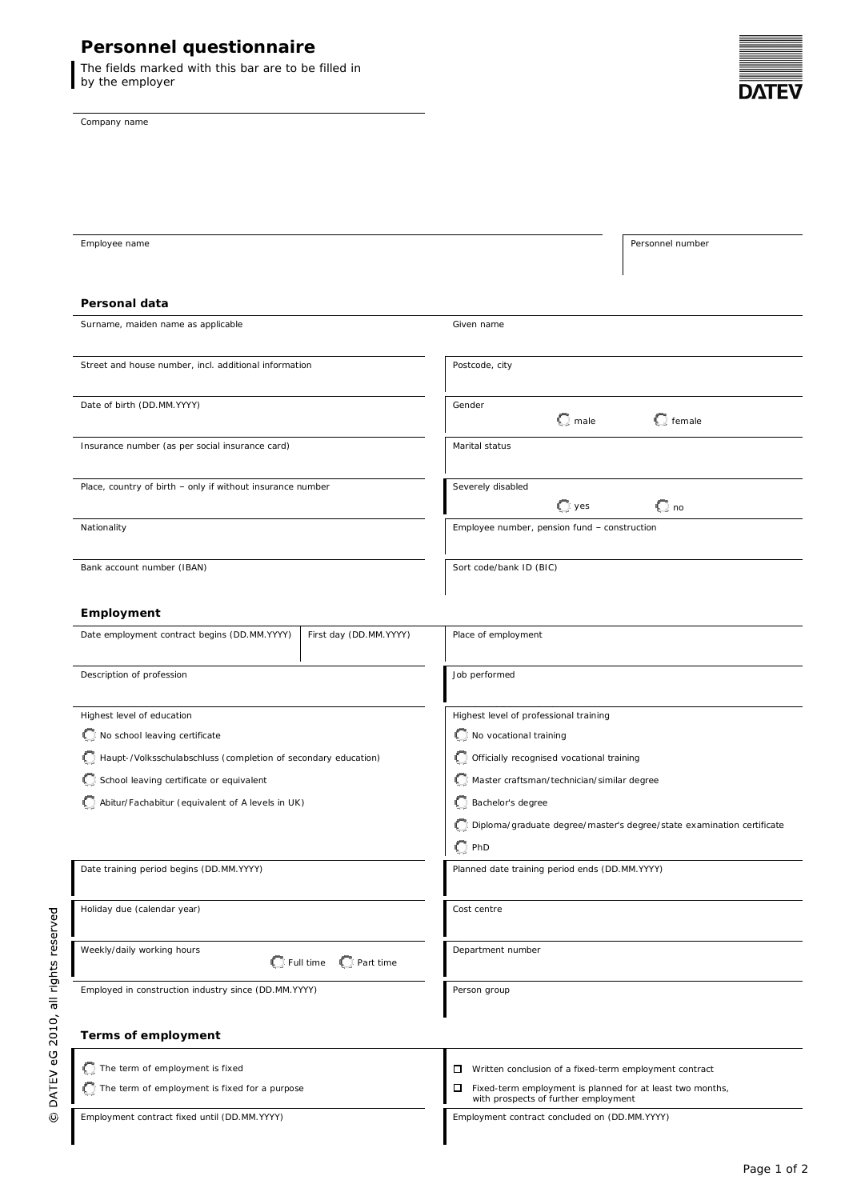# **Personnel questionnaire**

The fields marked with this bar are to be filled in by the employer

Company name

© DATEV eG 2010, all rights reserved



| Employee name                                                  |                         |                                                                                                        | Personnel number |  |
|----------------------------------------------------------------|-------------------------|--------------------------------------------------------------------------------------------------------|------------------|--|
|                                                                |                         |                                                                                                        |                  |  |
|                                                                |                         |                                                                                                        |                  |  |
| Personal data                                                  |                         |                                                                                                        |                  |  |
| Surname, maiden name as applicable                             |                         | Given name                                                                                             |                  |  |
|                                                                |                         |                                                                                                        |                  |  |
| Street and house number, incl. additional information          |                         | Postcode, city                                                                                         |                  |  |
|                                                                |                         |                                                                                                        |                  |  |
| Date of birth (DD.MM.YYYY)                                     |                         | Gender                                                                                                 |                  |  |
|                                                                |                         | $\bigcirc$ male                                                                                        | $\Box$ female    |  |
| Insurance number (as per social insurance card)                |                         | Marital status                                                                                         |                  |  |
|                                                                |                         |                                                                                                        |                  |  |
| Place, country of birth - only if without insurance number     |                         | Severely disabled                                                                                      |                  |  |
|                                                                |                         | $\Box$ yes                                                                                             | $\mathbb{C}$ no  |  |
| Nationality                                                    |                         | Employee number, pension fund - construction                                                           |                  |  |
|                                                                |                         |                                                                                                        |                  |  |
| Bank account number (IBAN)                                     |                         | Sort code/bank ID (BIC)                                                                                |                  |  |
|                                                                |                         |                                                                                                        |                  |  |
| Employment                                                     |                         |                                                                                                        |                  |  |
| Date employment contract begins (DD.MM.YYYY)                   | First day (DD.MM.YYYY)  | Place of employment                                                                                    |                  |  |
|                                                                |                         |                                                                                                        |                  |  |
| Description of profession                                      |                         | Job performed                                                                                          |                  |  |
|                                                                |                         |                                                                                                        |                  |  |
| Highest level of education                                     |                         | Highest level of professional training                                                                 |                  |  |
| No school leaving certificate                                  |                         | No vocational training                                                                                 |                  |  |
| Haupt-/Volksschulabschluss (completion of secondary education) |                         | Officially recognised vocational training                                                              |                  |  |
| School leaving certificate or equivalent                       |                         | Master craftsman/technician/similar degree                                                             |                  |  |
|                                                                |                         | Bachelor's degree                                                                                      |                  |  |
| Abitur/Fachabitur (equivalent of A levels in UK)               |                         |                                                                                                        |                  |  |
|                                                                |                         | Diploma/graduate degree/master's degree/state examination certificate                                  |                  |  |
|                                                                |                         | $\mathbb{C}$ PhD                                                                                       |                  |  |
| Date training period begins (DD.MM.YYYY)                       |                         | Planned date training period ends (DD.MM.YYYY)                                                         |                  |  |
|                                                                |                         |                                                                                                        |                  |  |
| Holiday due (calendar year)                                    |                         | Cost centre                                                                                            |                  |  |
|                                                                |                         |                                                                                                        |                  |  |
| Weekly/daily working hours                                     | C Full time C Part time | Department number                                                                                      |                  |  |
|                                                                |                         |                                                                                                        |                  |  |
| Employed in construction industry since (DD.MM.YYYY)           |                         | Person group                                                                                           |                  |  |
|                                                                |                         |                                                                                                        |                  |  |
| Terms of employment                                            |                         |                                                                                                        |                  |  |
|                                                                |                         |                                                                                                        |                  |  |
| The term of employment is fixed                                |                         | $\Box$ Written conclusion of a fixed-term employment contract                                          |                  |  |
| The term of employment is fixed for a purpose                  |                         | □<br>Fixed-term employment is planned for at least two months,<br>with prospects of further employment |                  |  |
| Employment contract fixed until (DD.MM.YYYY)                   |                         | Employment contract concluded on (DD.MM.YYYY)                                                          |                  |  |
|                                                                |                         |                                                                                                        |                  |  |